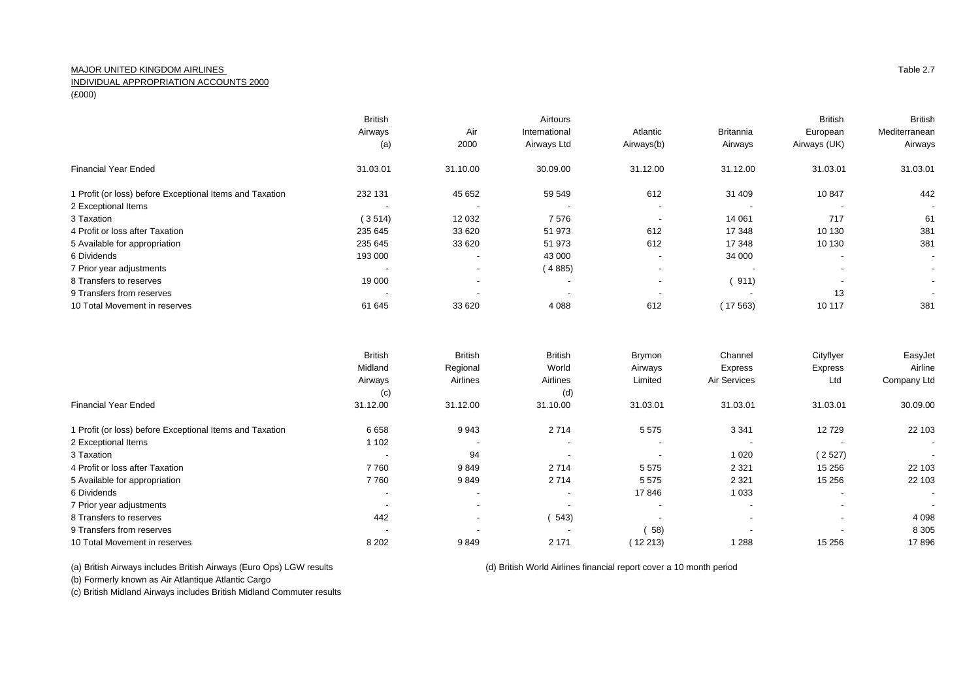## MAJOR UNITED KINGDOM AIRLINES

INDIVIDUAL APPROPRIATION ACCOUNTS 2000

(£000)

|                                                          | <b>British</b>           |                          | Airtours                 |                          |                          | <b>British</b>           | <b>British</b>           |
|----------------------------------------------------------|--------------------------|--------------------------|--------------------------|--------------------------|--------------------------|--------------------------|--------------------------|
|                                                          | Airways                  | Air                      | International            | Atlantic                 | <b>Britannia</b>         | European                 | Mediterranean            |
|                                                          | (a)                      | 2000                     | Airways Ltd              | Airways(b)               | Airways                  | Airways (UK)             | Airways                  |
| <b>Financial Year Ended</b>                              | 31.03.01                 | 31.10.00                 | 30.09.00                 | 31.12.00                 | 31.12.00                 | 31.03.01                 | 31.03.01                 |
| 1 Profit (or loss) before Exceptional Items and Taxation | 232 131                  | 45 652                   | 59 549                   | 612                      | 31 409                   | 10847                    | 442                      |
| 2 Exceptional Items                                      | $\overline{\phantom{a}}$ | $\overline{\phantom{a}}$ | $\overline{\phantom{a}}$ | $\overline{\phantom{a}}$ | $\overline{\phantom{a}}$ | $\overline{\phantom{a}}$ | $\overline{\phantom{a}}$ |
| 3 Taxation                                               | (3514)                   | 12 0 32                  | 7576                     |                          | 14 061                   | 717                      | 61                       |
| 4 Profit or loss after Taxation                          | 235 645                  | 33 620                   | 51 973                   | 612                      | 17 348                   | 10 130                   | 381                      |
| 5 Available for appropriation                            | 235 645                  | 33 620                   | 51 973                   | 612                      | 17 348                   | 10 130                   | 381                      |
| 6 Dividends                                              | 193 000                  | $\overline{\phantom{a}}$ | 43 000                   | $\overline{\phantom{a}}$ | 34 000                   | $\overline{\phantom{a}}$ | $\sim$                   |
| 7 Prior year adjustments                                 | $\overline{\phantom{a}}$ | $\overline{\phantom{a}}$ | (4885)                   | $\overline{\phantom{a}}$ |                          | $\overline{\phantom{a}}$ | $\sim$                   |
| 8 Transfers to reserves                                  | 19 000                   | $\overline{\phantom{a}}$ | $\overline{\phantom{a}}$ | $\sim$                   | 911)                     | $\overline{\phantom{a}}$ | $\sim$                   |
| 9 Transfers from reserves                                | $\overline{\phantom{a}}$ |                          | $\overline{\phantom{a}}$ |                          |                          | 13                       | $\overline{\phantom{a}}$ |
| 10 Total Movement in reserves                            | 61 645                   | 33 620                   | 4 0 8 8                  | 612                      | (17563)                  | 10 117                   | 381                      |
|                                                          |                          |                          |                          |                          |                          |                          |                          |

|                                                          | <b>British</b>           | <b>British</b>           | <b>British</b>           | Brymon   | Channel                  | Cityflyer                | EasyJet                  |
|----------------------------------------------------------|--------------------------|--------------------------|--------------------------|----------|--------------------------|--------------------------|--------------------------|
|                                                          | Midland                  | Regional                 | World                    | Airways  | Express                  | Express                  | Airline                  |
|                                                          | Airways                  | Airlines                 | Airlines                 | Limited  | Air Services             | Ltd                      | Company Ltd              |
|                                                          | (c)                      |                          | (d)                      |          |                          |                          |                          |
| <b>Financial Year Ended</b>                              | 31.12.00                 | 31.12.00                 | 31.10.00                 | 31.03.01 | 31.03.01                 | 31.03.01                 | 30.09.00                 |
| 1 Profit (or loss) before Exceptional Items and Taxation | 6658                     | 9943                     | 2 7 1 4                  | 5 5 7 5  | 3 3 4 1                  | 12729                    | 22 103                   |
| 2 Exceptional Items                                      | 1 102                    |                          | $\overline{\phantom{a}}$ |          | . .                      |                          | $\sim$                   |
| 3 Taxation                                               | $\overline{\phantom{a}}$ | 94                       |                          |          | 1 0 2 0                  | (2527)                   | $\overline{\phantom{a}}$ |
| 4 Profit or loss after Taxation                          | 7760                     | 9849                     | 2714                     | 5575     | 2 3 2 1                  | 15 25 6                  | 22 103                   |
| 5 Available for appropriation                            | 7760                     | 9849                     | 2714                     | 5 5 7 5  | 2 3 2 1                  | 15 25 6                  | 22 103                   |
| 6 Dividends                                              | $\overline{\phantom{a}}$ |                          | $\overline{\phantom{a}}$ | 17846    | 1 0 3 3                  |                          | $\sim$                   |
| 7 Prior year adjustments                                 | $\overline{\phantom{a}}$ | $\overline{\phantom{a}}$ |                          |          | $\overline{\phantom{a}}$ | $\blacksquare$           | $\sim$                   |
| 8 Transfers to reserves                                  | 442                      | $\overline{\phantom{0}}$ | 543)                     |          | $\overline{\phantom{a}}$ | $\overline{\phantom{a}}$ | 4 0 9 8                  |
| 9 Transfers from reserves                                | $\overline{\phantom{a}}$ |                          |                          | 58)      | . .                      |                          | 8 3 0 5                  |
| 10 Total Movement in reserves                            | 8 2 0 2                  | 9849                     | 2 1 7 1                  | 12 213)  | 1 2 8 8                  | 15 25 6                  | 17896                    |

(a) British Airways includes British Airways (Euro Ops) LGW results (d) British World Airlines financial report cover a 10 month period

(b) Formerly known as Air Atlantique Atlantic Cargo

(c) British Midland Airways includes British Midland Commuter results